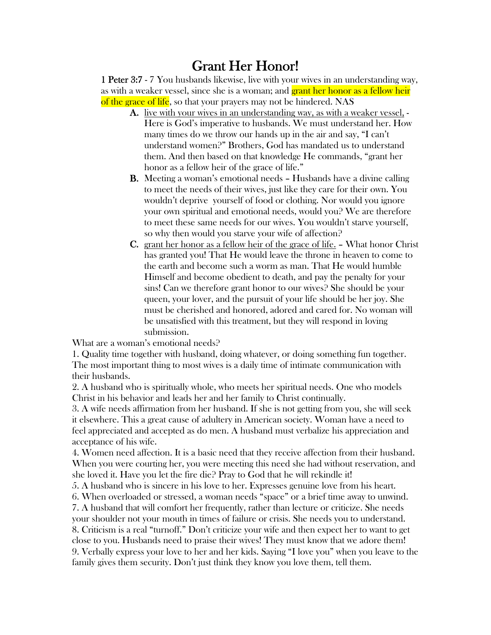## Grant Her Honor!

1 Peter 3:7 - 7 You husbands likewise, live with your wives in an understanding way, as with a weaker vessel, since she is a woman; and grant her honor as a fellow heir of the grace of life, so that your prayers may not be hindered. NAS

- A. live with your wives in an understanding way, as with a weaker vessel, Here is God's imperative to husbands. We must understand her. How many times do we throw our hands up in the air and say, "I can't understand women?" Brothers, God has mandated us to understand them. And then based on that knowledge He commands, "grant her honor as a fellow heir of the grace of life."
- B. Meeting a woman's emotional needs Husbands have a divine calling to meet the needs of their wives, just like they care for their own. You wouldn't deprive yourself of food or clothing. Nor would you ignore your own spiritual and emotional needs, would you? We are therefore to meet these same needs for our wives. You wouldn't starve yourself, so why then would you starve your wife of affection?
- C. grant her honor as a fellow heir of the grace of life. What honor Christ has granted you! That He would leave the throne in heaven to come to the earth and become such a worm as man. That He would humble Himself and become obedient to death, and pay the penalty for your sins! Can we therefore grant honor to our wives? She should be your queen, your lover, and the pursuit of your life should be her joy. She must be cherished and honored, adored and cared for. No woman will be unsatisfied with this treatment, but they will respond in loving submission.

What are a woman's emotional needs?

1. Quality time together with husband, doing whatever, or doing something fun together. The most important thing to most wives is a daily time of intimate communication with their husbands.

2. A husband who is spiritually whole, who meets her spiritual needs. One who models Christ in his behavior and leads her and her family to Christ continually.

3. A wife needs affirmation from her husband. If she is not getting from you, she will seek it elsewhere. This a great cause of adultery in American society. Woman have a need to feel appreciated and accepted as do men. A husband must verbalize his appreciation and acceptance of his wife.

4. Women need affection. It is a basic need that they receive affection from their husband. When you were courting her, you were meeting this need she had without reservation, and she loved it. Have you let the fire die? Pray to God that he will rekindle it!

5. A husband who is sincere in his love to her. Expresses genuine love from his heart.

6. When overloaded or stressed, a woman needs "space" or a brief time away to unwind. 7. A husband that will comfort her frequently, rather than lecture or criticize. She needs

your shoulder not your mouth in times of failure or crisis. She needs you to understand. 8. Criticism is a real "turnoff." Don't criticize your wife and then expect her to want to get close to you. Husbands need to praise their wives! They must know that we adore them! 9. Verbally express your love to her and her kids. Saying "I love you" when you leave to the family gives them security. Don't just think they know you love them, tell them.